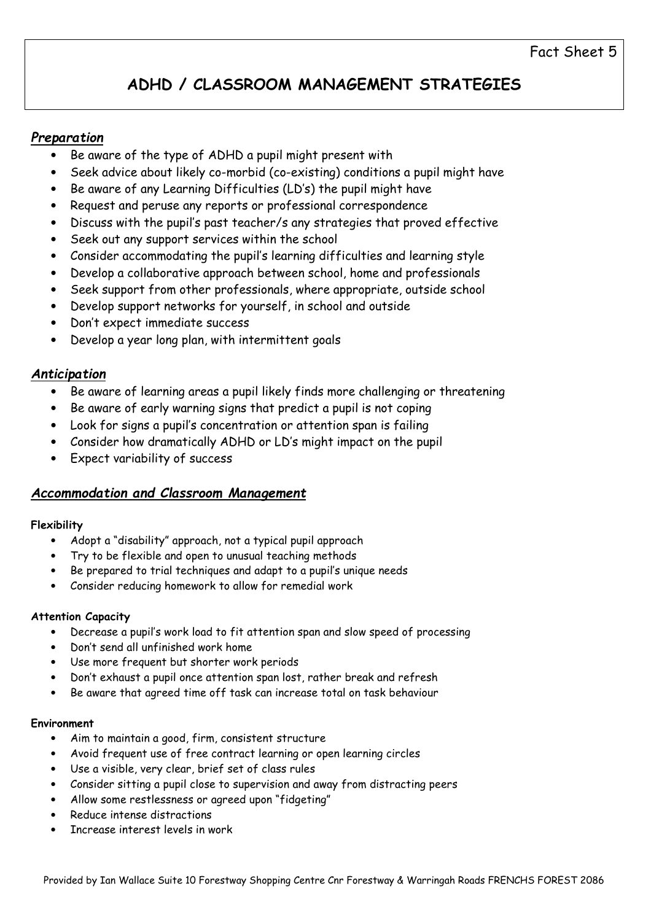# ADHD / CLASSROOM MANAGEMENT STRATEGIES

## Preparation

- Be aware of the type of ADHD a pupil might present with
- Seek advice about likely co-morbid (co-existing) conditions a pupil might have
- Be aware of any Learning Difficulties (LD's) the pupil might have
- Request and peruse any reports or professional correspondence
- Discuss with the pupil's past teacher/s any strategies that proved effective
- Seek out any support services within the school
- Consider accommodating the pupil's learning difficulties and learning style
- Develop a collaborative approach between school, home and professionals
- Seek support from other professionals, where appropriate, outside school
- Develop support networks for yourself, in school and outside
- Don't expect immediate success
- Develop a year long plan, with intermittent goals

## Anticipation

- Be aware of learning areas a pupil likely finds more challenging or threatening
- Be aware of early warning signs that predict a pupil is not coping
- Look for signs a pupil's concentration or attention span is failing
- Consider how dramatically ADHD or LD's might impact on the pupil
- Expect variability of success

## Accommodation and Classroom Management

## Flexibility

- Adopt a "disability" approach, not a typical pupil approach
- Try to be flexible and open to unusual teaching methods
- Be prepared to trial techniques and adapt to a pupil's unique needs
- Consider reducing homework to allow for remedial work

### Attention Capacity

- Decrease a pupil's work load to fit attention span and slow speed of processing
- Don't send all unfinished work home
- Use more frequent but shorter work periods
- Don't exhaust a pupil once attention span lost, rather break and refresh
- Be aware that agreed time off task can increase total on task behaviour

### Environment

- Aim to maintain a good, firm, consistent structure
- Avoid frequent use of free contract learning or open learning circles
- Use a visible, very clear, brief set of class rules
- Consider sitting a pupil close to supervision and away from distracting peers
- Allow some restlessness or agreed upon "fidgeting"
- Reduce intense distractions
- Increase interest levels in work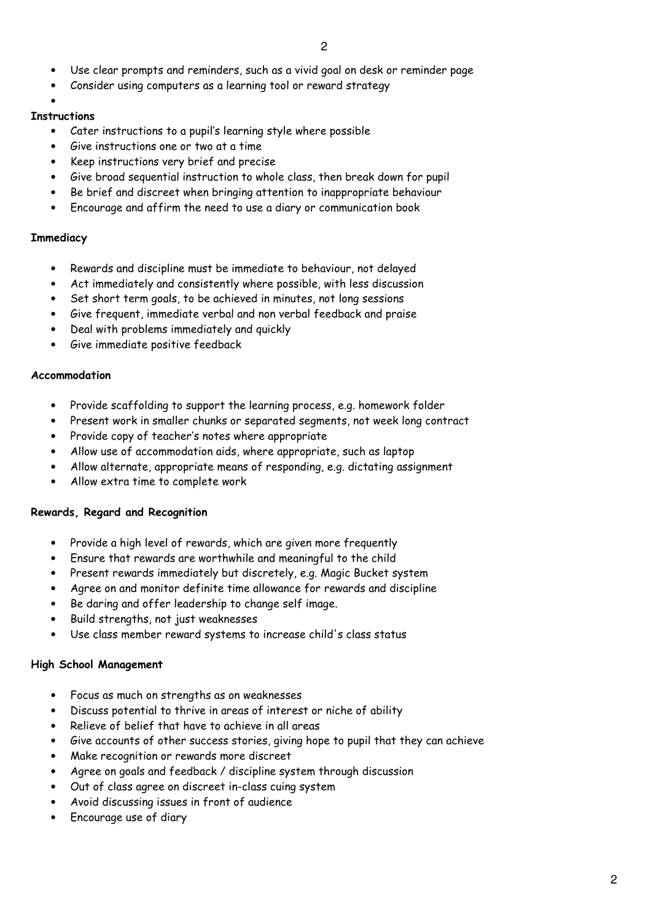- Use clear prompts and reminders, such as a vivid goal on desk or reminder page
- Consider using computers as a learning tool or reward strategy

•

#### **Instructions**

- Cater instructions to a pupil's learning style where possible
- Give instructions one or two at a time
- Keep instructions very brief and precise
- Give broad sequential instruction to whole class, then break down for pupil
- Be brief and discreet when bringing attention to inappropriate behaviour
- Encourage and affirm the need to use a diary or communication book

#### **Immediacy**

- Rewards and discipline must be immediate to behaviour, not delayed
- Act immediately and consistently where possible, with less discussion
- Set short term goals, to be achieved in minutes, not long sessions
- Give frequent, immediate verbal and non verbal feedback and praise
- Deal with problems immediately and quickly
- Give immediate positive feedback

#### Accommodation

- Provide scaffolding to support the learning process, e.g. homework folder
- Present work in smaller chunks or separated segments, not week long contract
- Provide copy of teacher's notes where appropriate
- Allow use of accommodation aids, where appropriate, such as laptop
- Allow alternate, appropriate means of responding, e.g. dictating assignment
- Allow extra time to complete work

### Rewards, Regard and Recognition

- Provide a high level of rewards, which are given more frequently
- Ensure that rewards are worthwhile and meaningful to the child
- Present rewards immediately but discretely, e.g. Magic Bucket system
- Agree on and monitor definite time allowance for rewards and discipline
- Be daring and offer leadership to change self image.
- Build strengths, not just weaknesses
- Use class member reward systems to increase child's class status

### High School Management

- Focus as much on strengths as on weaknesses
- Discuss potential to thrive in areas of interest or niche of ability
- Relieve of belief that have to achieve in all areas
- Give accounts of other success stories, giving hope to pupil that they can achieve
- Make recognition or rewards more discreet
- Agree on goals and feedback / discipline system through discussion
- Out of class agree on discreet in-class cuing system
- Avoid discussing issues in front of audience
- Encourage use of diary